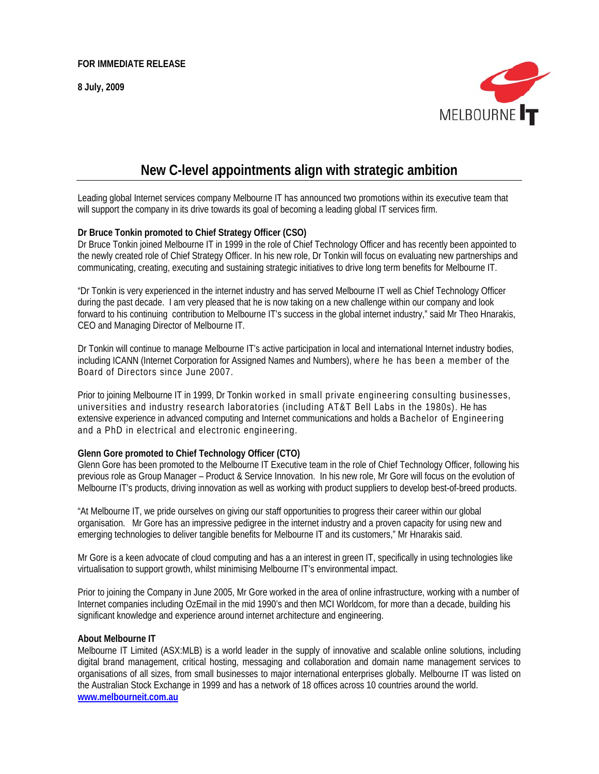**8 July, 2009** 



# **New C-level appointments align with strategic ambition**

Leading global Internet services company Melbourne IT has announced two promotions within its executive team that will support the company in its drive towards its goal of becoming a leading global IT services firm.

## **Dr Bruce Tonkin promoted to Chief Strategy Officer (CSO)**

Dr Bruce Tonkin joined Melbourne IT in 1999 in the role of Chief Technology Officer and has recently been appointed to the newly created role of Chief Strategy Officer. In his new role, Dr Tonkin will focus on evaluating new partnerships and communicating, creating, executing and sustaining strategic initiatives to drive long term benefits for Melbourne IT.

"Dr Tonkin is very experienced in the internet industry and has served Melbourne IT well as Chief Technology Officer during the past decade. I am very pleased that he is now taking on a new challenge within our company and look forward to his continuing contribution to Melbourne IT's success in the global internet industry," said Mr Theo Hnarakis, CEO and Managing Director of Melbourne IT.

Dr Tonkin will continue to manage Melbourne IT's active participation in local and international Internet industry bodies, including ICANN (Internet Corporation for Assigned Names and Numbers), where he has been a member of the Board of Directors since June 2007.

Prior to joining Melbourne IT in 1999, Dr Tonkin worked in small private engineering consulting businesses, universities and industry research laboratories (including AT&T Bell Labs in the 1980s). He has extensive experience in advanced computing and Internet communications and holds a Bachelor of Engineering and a PhD in electrical and electronic engineering.

## **Glenn Gore promoted to Chief Technology Officer (CTO)**

Glenn Gore has been promoted to the Melbourne IT Executive team in the role of Chief Technology Officer, following his previous role as Group Manager – Product & Service Innovation. In his new role, Mr Gore will focus on the evolution of Melbourne IT's products, driving innovation as well as working with product suppliers to develop best-of-breed products.

"At Melbourne IT, we pride ourselves on giving our staff opportunities to progress their career within our global organisation. Mr Gore has an impressive pedigree in the internet industry and a proven capacity for using new and emerging technologies to deliver tangible benefits for Melbourne IT and its customers," Mr Hnarakis said.

Mr Gore is a keen advocate of cloud computing and has a an interest in green IT, specifically in using technologies like virtualisation to support growth, whilst minimising Melbourne IT's environmental impact.

Prior to joining the Company in June 2005, Mr Gore worked in the area of online infrastructure, working with a number of Internet companies including OzEmail in the mid 1990's and then MCI Worldcom, for more than a decade, building his significant knowledge and experience around internet architecture and engineering.

#### **About Melbourne IT**

Melbourne IT Limited (ASX:MLB) is a world leader in the supply of innovative and scalable online solutions, including digital brand management, critical hosting, messaging and collaboration and domain name management services to organisations of all sizes, from small businesses to major international enterprises globally. Melbourne IT was listed on the Australian Stock Exchange in 1999 and has a network of 18 offices across 10 countries around the world. **www.melbourneit.com.au**